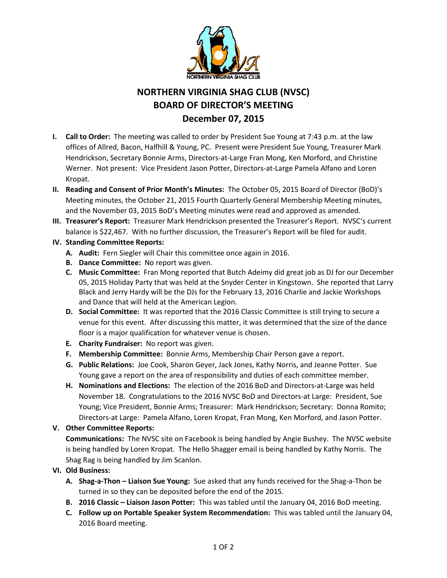

# **NORTHERN VIRGINIA SHAG CLUB (NVSC) BOARD OF DIRECTOR'S MEETING December 07, 2015**

- **I. Call to Order:** The meeting was called to order by President Sue Young at 7:43 p.m. at the law offices of Allred, Bacon, Halfhill & Young, PC. Present were President Sue Young, Treasurer Mark Hendrickson, Secretary Bonnie Arms, Directors-at-Large Fran Mong, Ken Morford, and Christine Werner. Not present: Vice President Jason Potter, Directors-at-Large Pamela Alfano and Loren Kropat.
- **II. Reading and Consent of Prior Month's Minutes:** The October 05, 2015 Board of Director (BoD)'s Meeting minutes, the October 21, 2015 Fourth Quarterly General Membership Meeting minutes, and the November 03, 2015 BoD's Meeting minutes were read and approved as amended.
- **III. Treasurer's Report:** Treasurer Mark Hendrickson presented the Treasurer's Report. NVSC's current balance is \$22,467. With no further discussion, the Treasurer's Report will be filed for audit.
- **IV. Standing Committee Reports:**
	- **A. Audit:** Fern Siegler will Chair this committee once again in 2016.
	- **B. Dance Committee:** No report was given.
	- **C. Music Committee:** Fran Mong reported that Butch Adeimy did great job as DJ for our December 05, 2015 Holiday Party that was held at the Snyder Center in Kingstown. She reported that Larry Black and Jerry Hardy will be the DJs for the February 13, 2016 Charlie and Jackie Workshops and Dance that will held at the American Legion.
	- **D. Social Committee:** It was reported that the 2016 Classic Committee is still trying to secure a venue for this event. After discussing this matter, it was determined that the size of the dance floor is a major qualification for whatever venue is chosen.
	- **E. Charity Fundraiser:** No report was given.
	- **F. Membership Committee:** Bonnie Arms, Membership Chair Person gave a report.
	- **G. Public Relations:** Joe Cook, Sharon Geyer, Jack Jones, Kathy Norris, and Jeanne Potter. Sue Young gave a report on the area of responsibility and duties of each committee member.
	- **H. Nominations and Elections:** The election of the 2016 BoD and Directors-at-Large was held November 18. Congratulations to the 2016 NVSC BoD and Directors-at Large: President, Sue Young; Vice President, Bonnie Arms; Treasurer: Mark Hendrickson; Secretary: Donna Romito; Directors-at Large: Pamela Alfano, Loren Kropat, Fran Mong, Ken Morford, and Jason Potter.

# **V. Other Committee Reports:**

**Communications:** The NVSC site on Facebook is being handled by Angie Bushey. The NVSC website is being handled by Loren Kropat. The Hello Shagger email is being handled by Kathy Norris. The Shag Rag is being handled by Jim Scanlon.

- **VI. Old Business:**
	- **A. Shag-a-Thon – Liaison Sue Young:** Sue asked that any funds received for the Shag-a-Thon be turned in so they can be deposited before the end of the 2015.
	- **B. 2016 Classic – Liaison Jason Potter:** This was tabled until the January 04, 2016 BoD meeting.
	- **C. Follow up on Portable Speaker System Recommendation:** This was tabled until the January 04, 2016 Board meeting.